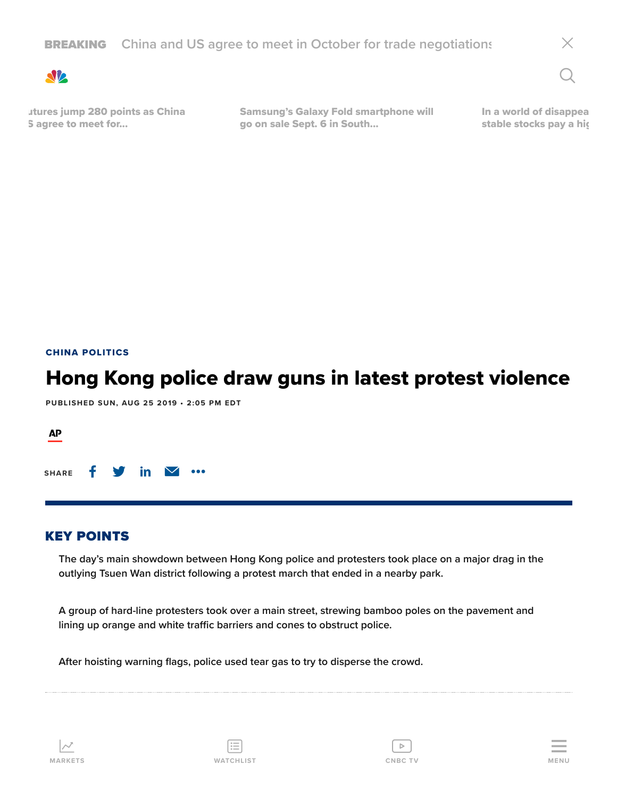

 $\bigcirc$ 



[utures jump 280 points as China](https://www.cnbc.com/2019/09/05/dow-futures-jump-as-china-and-us-agree-to-meet-for-trade-talks.html) S agree to meet for...

[Samsung's Galaxy Fold smartphone will](https://www.cnbc.com/2019/09/05/samsungs-galaxy-fold-smartphone-will-go-on-sale-sept-6-in-south-korea.html) go on sale Sept. 6 in South...

[In a world of disappea](https://www.cnbc.com/2019/09/04/in-a-world-of-disappearing-income-these-stable-stocks-pay-a-high-dividend-yield.html) stable stocks pay a high

CHINA [POLITICS](https://www.cnbc.com/china-politics/)

# Hong Kong police draw guns in latest protest violence

PUBLISHED SUN, AUG 25 2019 • 2:05 PM EDT

| ΔP                                |  |  |  |
|-----------------------------------|--|--|--|
| SHARE $f \circ f$ in $\mathbb{Y}$ |  |  |  |

#### KEY POINTS

**The day's main showdown between Hong Kong police and protesters took place on a major drag in the outlying Tsuen Wan district following a protest march that ended in a nearby park.**

**A group of hard-line protesters took over a main street, strewing bamboo poles on the pavement and lining up orange and white traffic barriers and cones to obstruct police.**

**After hoisting warning flags, police used tear gas to try to disperse the crowd.**





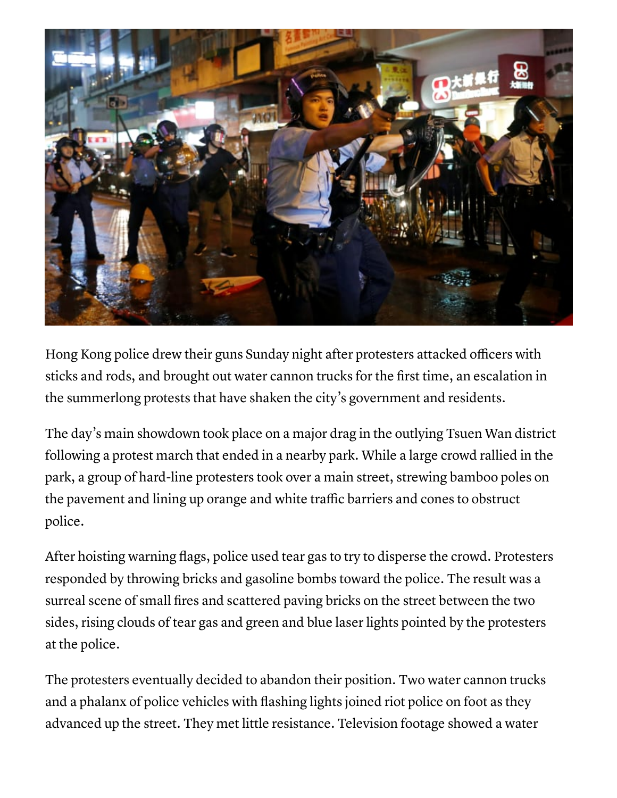

Hong Kong police drew their guns Sunday night after protesters attacked officers with sticks and rods, and brought out water cannon trucks for the first time, an escalation in the summerlong protests that have shaken the city's government and residents.

The day's main showdown took place on a major drag in the outlying Tsuen Wan district following a protest march that ended in a nearby park. While a large crowd rallied in the park, a group of hard-line protesters took over a main street, strewing bamboo poles on the pavement and lining up orange and white traffic barriers and cones to obstruct police.

After hoisting warning flags, police used tear gas to try to disperse the crowd. Protesters responded by throwing bricks and gasoline bombs toward the police. The result was a surreal scene of small fires and scattered paving bricks on the street between the two sides, rising clouds of tear gas and green and blue laser lights pointed by the protesters at the police.

The protesters eventually decided to abandon their position. Two water cannon trucks and a phalanx of police vehicles with flashing lights joined riot police on foot as they advanced up the street. They met little resistance. Television footage showed a water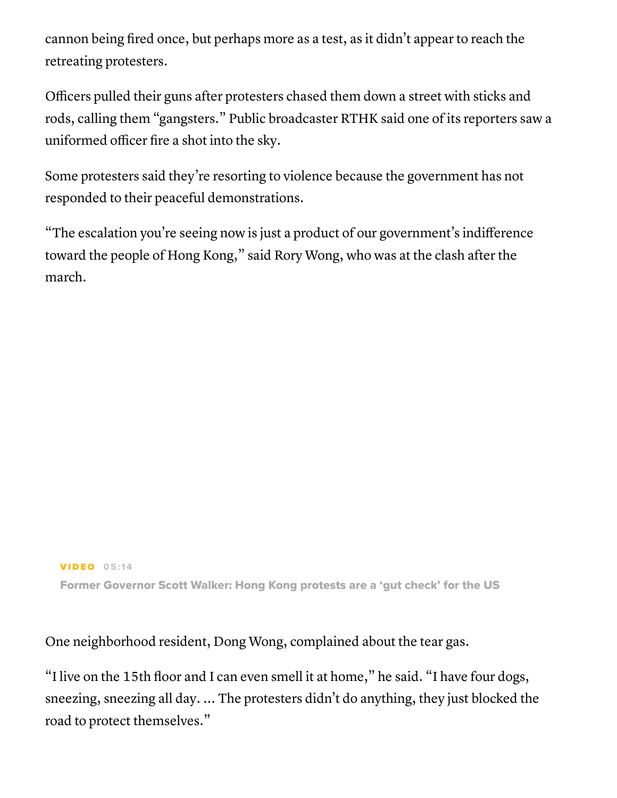cannon being fired once, but perhaps more as a test, as it didn't appear to reach the retreating protesters.

Officers pulled their guns after protesters chased them down a street with sticks and rods, calling them "gangsters." Public broadcaster RTHK said one of its reporters saw a uniformed officer fire a shot into the sky.

Some protesters said they're resorting to violence because the government has not responded to their peaceful demonstrations.

"The escalation you're seeing now is just a product of our government's indifference toward the people of Hong Kong," said Rory Wong, who was at the clash after the march.

**VIDEO** 05:14

Former Governor Scott Walker: Hong Kong protests are a 'gut check' for the US

One neighborhood resident, Dong Wong, complained about the tear gas.

"I live on the 15th floor and I can even smell it at home," he said. "I have four dogs, sneezing, sneezing all day. ... The protesters didn't do anything, they just blocked the road to protect themselves."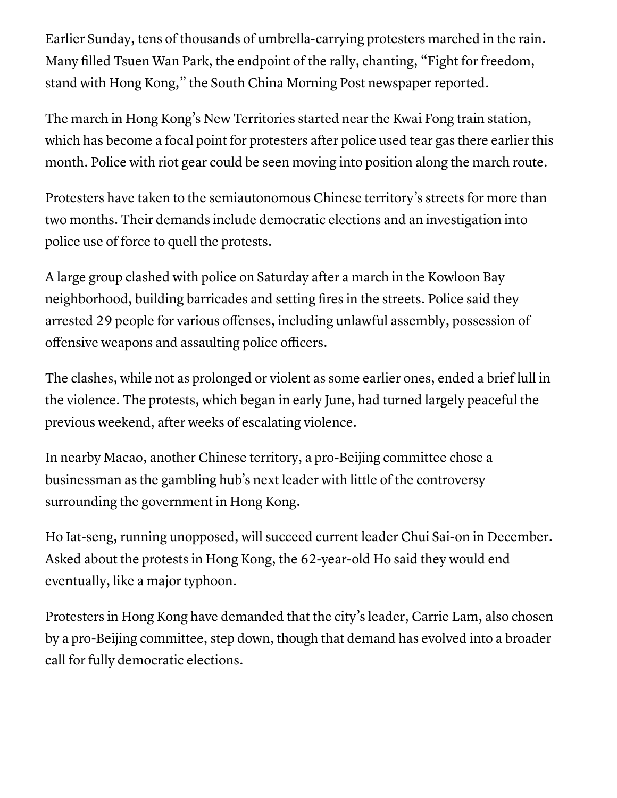Earlier Sunday, tens of thousands of umbrella-carrying protesters marched in the rain. Many filled Tsuen Wan Park, the endpoint of the rally, chanting, "Fight for freedom, stand with Hong Kong," the South China Morning Post newspaper reported.

The march in Hong Kong's New Territories started near the Kwai Fong train station, which has become a focal point for protesters after police used tear gas there earlier this month. Police with riot gear could be seen moving into position along the march route.

Protesters have taken to the semiautonomous Chinese territory's streets for more than two months. Their demands include democratic elections and an investigation into police use of force to quell the protests.

A large group clashed with police on Saturday after a march in the Kowloon Bay neighborhood, building barricades and setting fires in the streets. Police said they arrested 29 people for various offenses, including unlawful assembly, possession of offensive weapons and assaulting police officers.

The clashes, while not as prolonged or violent as some earlier ones, ended a brief lull in the violence. The protests, which began in early June, had turned largely peaceful the previous weekend, after weeks of escalating violence.

In nearby Macao, another Chinese territory, a pro-Beijing committee chose a businessman as the gambling hub's next leader with little of the controversy surrounding the government in Hong Kong.

Ho Iat-seng, running unopposed, will succeed current leader Chui Sai-on in December. Asked about the protests in Hong Kong, the 62-year-old Ho said they would end eventually, like a major typhoon.

Protesters in Hong Kong have demanded that the city's leader, Carrie Lam, also chosen by a pro-Beijing committee, step down, though that demand has evolved into a broader call for fully democratic elections.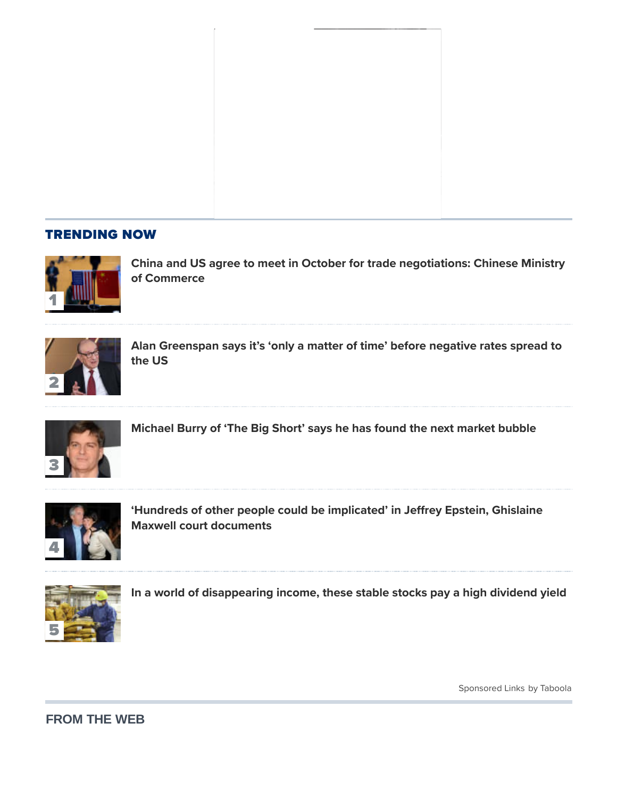

#### TRENDING NOW



[China and US agree to meet in October for trade negotiations: Chinese Ministry](https://www.cnbc.com/2019/09/05/china-and-us-agree-to-meet-in-october-for-trade-negotiations-chinese-state-media.html) of Commerce



[Alan Greenspan says it's 'only a matter of time' before negative rates spread to](https://www.cnbc.com/2019/09/04/alan-greenspan-says-its-only-a-matter-of-time-before-negative-rates-spread-to-the-us.html) the US



[Michael Burry of 'The Big Short' says he has found the next market bubble](https://www.cnbc.com/2019/09/04/the-big-shorts-michael-burry-says-he-has-found-the-next-market-bubble.html)



['Hundreds of other people could be implicated' in Jeffrey Epstein, Ghislaine](https://www.cnbc.com/2019/09/04/jeffrey-epstein-ghislaine-maxwell-documents-could-implicate-others.html) Maxwell court documents



[In a world of disappearing income, these stable stocks pay a high dividend yield](https://www.cnbc.com/2019/09/04/in-a-world-of-disappearing-income-these-stable-stocks-pay-a-high-dividend-yield.html)

[Sponsored Links](https://popup.taboola.com/en/?template=colorbox&utm_source=cnbc&utm_medium=referral&utm_content=thumbnails-rr-2:right-rail-thumbnails:) [by Taboola](https://popup.taboola.com/en/?template=colorbox&utm_source=cnbc&utm_medium=referral&utm_content=thumbnails-rr-2:right-rail-thumbnails:)

**FROM THE WEB**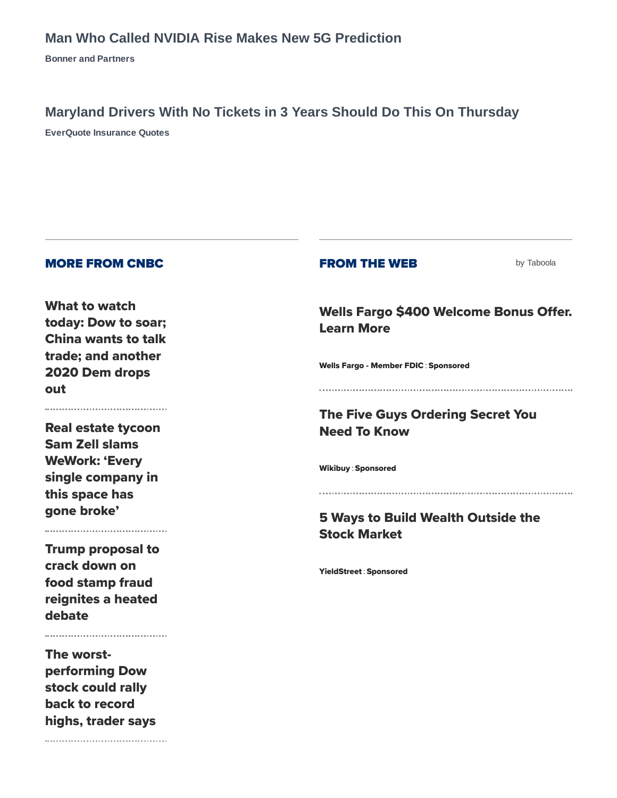**Bonner and Partners**

## **Maryland Drivers With No Tickets in 3 Years Should Do This On [Thursday](https://article.everquote.com/?h1=drivers&h2=dnt_static&auuid=c161c0bb-78cd-498f-89b6-a4e2810f167f&&tid=584&id=584&subid=6871&dt=dup&utm_medium=cnbc&utm_thumbnail=https%3A%2F%2Fstatic.evq1.com%2Fstampr%2Fae964e74-6a4c-4d2d-838c-b5af79a140af.jpg&campaign_id=1433165)**

**EverQuote Insurance Quotes**

#### MORE FROM CNBC

What to watch [today: Dow to soar;](https://www.cnbc.com/2019/08/29/dow-to-soar-china-wants-to-talk-trade-and-another-2020-dem-drops-out.html?__twitter_impression=true&recirc=taboolainternal) China wants to talk trade; and another 2020 Dem drops out

[Real estate tycoon](https://www.cnbc.com/2019/09/04/sam-zell-on-wework-every-single-company-in-this-space-has-gone-broke.html?__twitter_impression=true&recirc=taboolainternal) Sam Zell slams WeWork: 'Every single company in this space has gone broke'

[Trump proposal to](https://www.cnbc.com/2019/08/30/trump-plan-to-crack-down-on-food-stamp-fraud-reignites-heated-debate.html?__twitter_impression=true&recirc=taboolainternal) crack down on food stamp fraud reignites a heated debate

The worstperforming Dow stock could rally back to record [highs, trader says](https://www.cnbc.com/2019/09/04/boeing-could-rally-back-to-record-highs-trader-says.html?__twitter_impression=true&recirc=taboolainternal)

#### **FROM THE WEB** by [Taboola](https://popup.taboola.com/en/?template=colorbox&utm_source=cnbc&utm_medium=referral&utm_content=thumbs-feed-stream-half-size:Below%20Article%20Thumbnails%20Bento%20Feed%20|%20Card%202:)

### [Wells Fargo \\$400 Welcome Bonus Offer.](https://ad.doubleclick.net/ddm/clk/442026915;245087594;m?utm_source=taboola&utm_medium=referral&recirc=taboolaexternal) Learn More

Wells Fargo - Member FDIC : [Sponsored](https://popup.taboola.com/en/?template=colorbox&utm_source=cnbc&utm_medium=referral&utm_content=thumbs-feed-stream-half-size:Below%20Article%20Thumbnails%20Bento%20Feed%20|%20Card%202:)

[The Five Guys Ordering Secret You](https://wikibuy.com/blog/heres-the-best-way-to-order-five-guys-4b6f1dc32b08?hno=true&utm_source=jaguar11&utm_campaign=1986148&utm_term=188969645&recirc=taboolaexternal) Need To Know

Wikibuy : [Sponsored](https://popup.taboola.com/en/?template=colorbox&utm_source=cnbc&utm_medium=referral&utm_content=thumbs-feed-stream-half-size:Below%20Article%20Thumbnails%20Bento%20Feed%20|%20Card%202:)

### [5 Ways to Build Wealth Outside the](https://www.yieldstreet.com/five-ways-to-make-money-outside-the-stock-market?utm_source=Taboola&utm_medium=cpc&utm_campaign=WL_Desktop_StateWL&utm_content=5&cnbc&recirc=taboolaexternal) Stock Market

YieldStreet : [Sponsored](https://popup.taboola.com/en/?template=colorbox&utm_source=cnbc&utm_medium=referral&utm_content=thumbs-feed-stream-half-size:Below%20Article%20Thumbnails%20Bento%20Feed%20|%20Card%202:)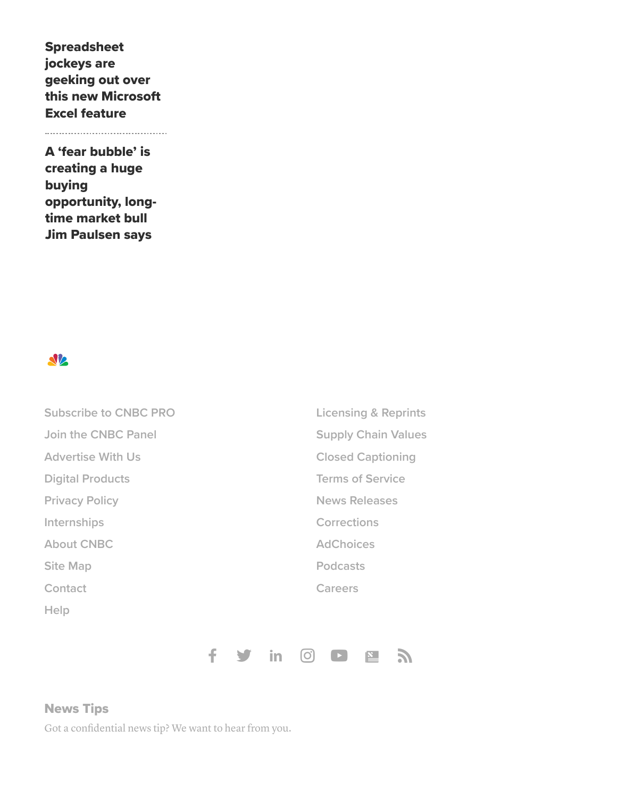**Spreadsheet** jockeys are geeking out over [this new Microsoft](https://www.cnbc.com/2019/09/01/microsoft-releases-excel-xlookup-feature-spreadsheet-jockeys-rejoice.html?recirc=taboolainternal) Excel feature

A 'fear bubble' is creating a huge buying [opportunity, long-](https://www.cnbc.com/2019/09/01/fear-bubble-is-creating-a-huge-buying-opportunity-long-time-bull.html?__twitter_impression=true&recirc=taboolainternal)

time market bull Jim Paulsen says

#### **SV**

| <b>Subscribe to CNBC PRO</b> | <b>Licensing &amp; Reprints</b> |  |
|------------------------------|---------------------------------|--|
| <b>Join the CNBC Panel</b>   | <b>Supply Chain Values</b>      |  |
| <b>Advertise With Us</b>     | <b>Closed Captioning</b>        |  |
| <b>Digital Products</b>      | <b>Terms of Service</b>         |  |
| <b>Privacy Policy</b>        | <b>News Releases</b>            |  |
| Internships                  | Corrections                     |  |
| <b>About CNBC</b>            | <b>AdChoices</b>                |  |
| <b>Site Map</b>              | <b>Podcasts</b>                 |  |
| Contact                      | Careers                         |  |
| Help                         |                                 |  |



### News Tips

Got a confidential news tip? We want to hear from you.